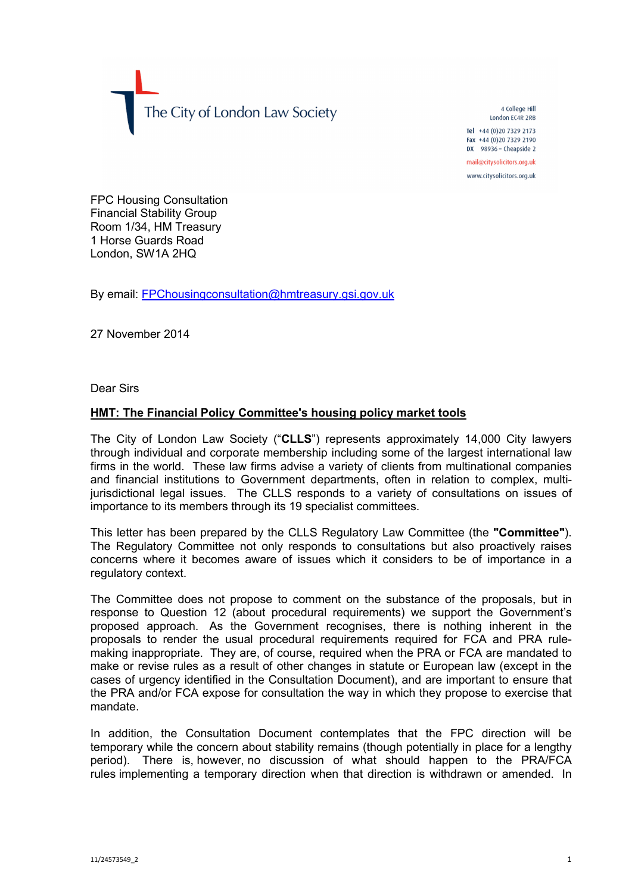The City of London Law Society

4 College Hill London FC4R 2RB Tel +44 (0) 20 7329 2173 Fax +44 (0)20 7329 2190 DX  $98936 -$  Cheapside 2 mail@citysolicitors.org.uk

www.citysolicitors.org.uk

FPC Housing Consultation Financial Stability Group Room 1/34, HM Treasury 1 Horse Guards Road London, SW1A 2HQ

By email: [FPChousingconsultation@hmtreasury.gsi.gov.uk](mailto:FPChousingconsultation@hmtreasury.gsi.gov.uk)

27 November 2014

Dear Sirs

## **HMT: The Financial Policy Committee's housing policy market tools**

The City of London Law Society ("**CLLS**") represents approximately 14,000 City lawyers through individual and corporate membership including some of the largest international law firms in the world. These law firms advise a variety of clients from multinational companies and financial institutions to Government departments, often in relation to complex, multijurisdictional legal issues. The CLLS responds to a variety of consultations on issues of importance to its members through its 19 specialist committees.

This letter has been prepared by the CLLS Regulatory Law Committee (the **"Committee"**). The Regulatory Committee not only responds to consultations but also proactively raises concerns where it becomes aware of issues which it considers to be of importance in a regulatory context.

The Committee does not propose to comment on the substance of the proposals, but in response to Question 12 (about procedural requirements) we support the Government's proposed approach. As the Government recognises, there is nothing inherent in the proposals to render the usual procedural requirements required for FCA and PRA rulemaking inappropriate. They are, of course, required when the PRA or FCA are mandated to make or revise rules as a result of other changes in statute or European law (except in the cases of urgency identified in the Consultation Document), and are important to ensure that the PRA and/or FCA expose for consultation the way in which they propose to exercise that mandate.

In addition, the Consultation Document contemplates that the FPC direction will be temporary while the concern about stability remains (though potentially in place for a lengthy period). There is, however, no discussion of what should happen to the PRA/FCA rules implementing a temporary direction when that direction is withdrawn or amended. In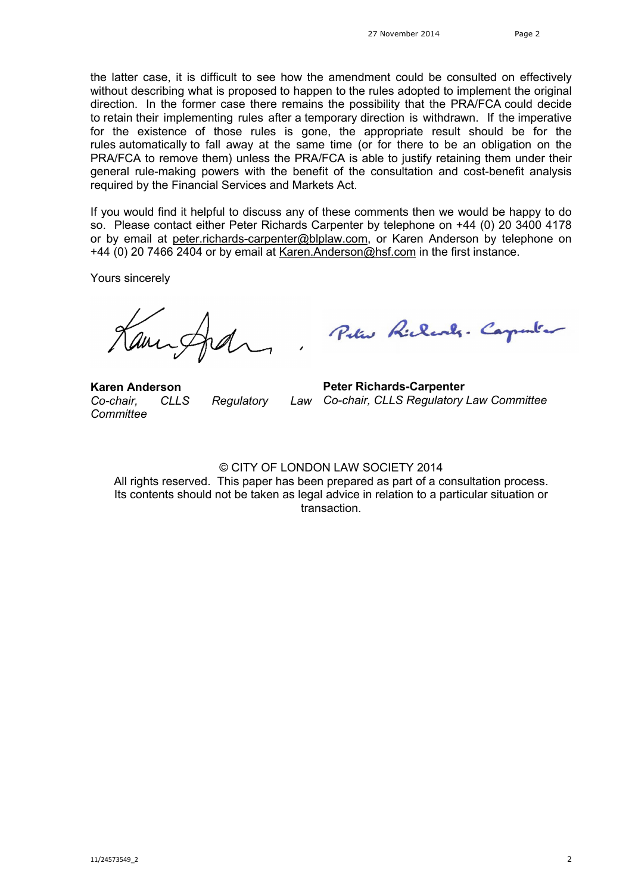the latter case, it is difficult to see how the amendment could be consulted on effectively without describing what is proposed to happen to the rules adopted to implement the original direction. In the former case there remains the possibility that the PRA/FCA could decide to retain their implementing rules after a temporary direction is withdrawn. If the imperative for the existence of those rules is gone, the appropriate result should be for the rules automatically to fall away at the same time (or for there to be an obligation on the PRA/FCA to remove them) unless the PRA/FCA is able to justify retaining them under their general rule-making powers with the benefit of the consultation and cost-benefit analysis required by the Financial Services and Markets Act.

If you would find it helpful to discuss any of these comments then we would be happy to do so. Please contact either Peter Richards Carpenter by telephone on +44 (0) 20 3400 4178 or by email at [peter.richards-carpenter@blplaw.com,](mailto:peter.richards-carpenter@blplaw.com) or Karen Anderson by telephone on +44 (0) 20 7466 2404 or by email at [Karen.Anderson@hsf.com](mailto:Karen.Anderson@hsf.com) in the first instance.

Yours sincerely

**Karen Anderson** *Co-chair, CLLS Regulatory Committee*

Peter Richards. Carpenter

**Peter Richards-Carpenter** *Co-chair, CLLS Regulatory Law Committee* 

© CITY OF LONDON LAW SOCIETY 2014

All rights reserved. This paper has been prepared as part of a consultation process. Its contents should not be taken as legal advice in relation to a particular situation or transaction.